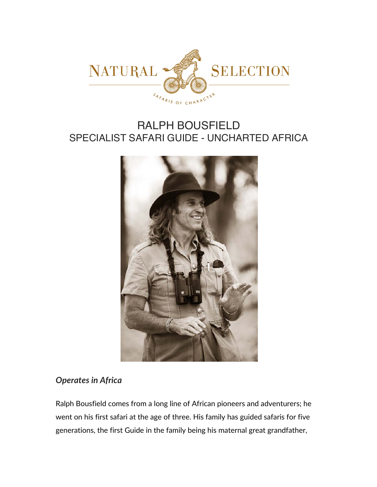

# RALPH BOUSFIELD SPECIALIST SAFARI GUIDE - UNCHARTED AFRICA



#### *Operates in Africa*

Ralph Bousfield comes from a long line of African pioneers and adventurers; he went on his first safari at the age of three. His family has guided safaris for five generations, the first Guide in the family being his maternal great grandfather,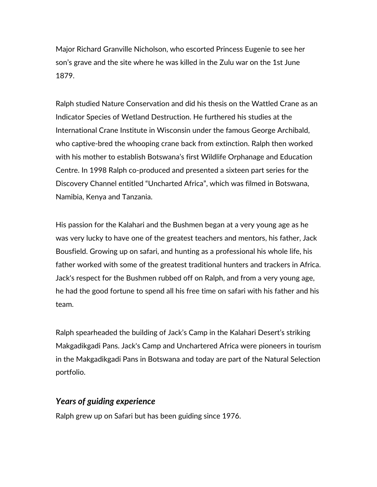Major Richard Granville Nicholson, who escorted Princess Eugenie to see her son's grave and the site where he was killed in the Zulu war on the 1st June 1879.

Ralph studied Nature Conservation and did his thesis on the Wattled Crane as an Indicator Species of Wetland Destruction. He furthered his studies at the International Crane Institute in Wisconsin under the famous George Archibald, who captive-bred the whooping crane back from extinction. Ralph then worked with his mother to establish Botswana's first Wildlife Orphanage and Education Centre. In 1998 Ralph co-produced and presented a sixteen part series for the Discovery Channel entitled "Uncharted Africa", which was filmed in Botswana, Namibia, Kenya and Tanzania.

His passion for the Kalahari and the Bushmen began at a very young age as he was very lucky to have one of the greatest teachers and mentors, his father, Jack Bousfield. Growing up on safari, and hunting as a professional his whole life, his father worked with some of the greatest traditional hunters and trackers in Africa. Jack's respect for the Bushmen rubbed off on Ralph, and from a very young age, he had the good fortune to spend all his free time on safari with his father and his team.

Ralph spearheaded the building of Jack's Camp in the Kalahari Desert's striking Makgadikgadi Pans. Jack's Camp and Unchartered Africa were pioneers in tourism in the Makgadikgadi Pans in Botswana and today are part of the Natural Selection portfolio.

#### *Years of guiding experience*

Ralph grew up on Safari but has been guiding since 1976.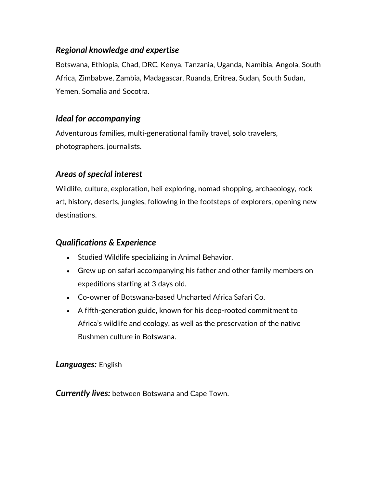### *Regional knowledge and expertise*

Botswana, Ethiopia, Chad, DRC, Kenya, Tanzania, Uganda, Namibia, Angola, South Africa, Zimbabwe, Zambia, Madagascar, Ruanda, Eritrea, Sudan, South Sudan, Yemen, Somalia and Socotra.

### *Ideal for accompanying*

Adventurous families, multi-generational family travel, solo travelers, photographers, journalists.

# *Areas of special interest*

Wildlife, culture, exploration, heli exploring, nomad shopping, archaeology, rock art, history, deserts, jungles, following in the footsteps of explorers, opening new destinations.

# *Qualifications & Experience*

- Studied Wildlife specializing in Animal Behavior.
- Grew up on safari accompanying his father and other family members on expeditions starting at 3 days old.
- Co-owner of Botswana-based Uncharted Africa Safari Co.
- A fifth-generation guide, known for his deep-rooted commitment to Africa's wildlife and ecology, as well as the preservation of the native Bushmen culture in Botswana.

*Languages:* English

*Currently lives:* between Botswana and Cape Town.